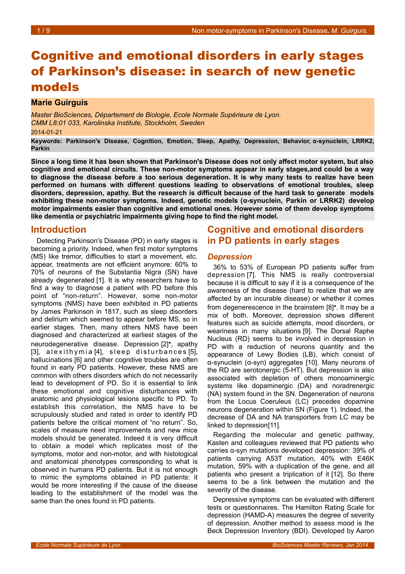# Cognitive and emotional disorders in early stages of Parkinson's disease: in search of new genetic models

### **Marie Guirguis**

*Master BioSciences, Département de Biologie, Ecole Normale Supérieure de Lyon. CMM L8:01 033, Karolinska Institute, Stockholm, Sweden* 2014-01-21

**Keywords: Parkinson's Disease, Cognition, Emotion, Sleep, Apathy, Depression, Behavior, α-synuclein, LRRK2, Parkin**

**Since a long time it has been shown that Parkinson's Disease does not only affect motor system, but also cognitive and emotional circuits. These non-motor symptoms appear in early stages,and could be a way to diagnose the disease before a too serious degeneration. It is why many tests to realize have been performed on humans with different questions leading to observations of emotional troubles, sleep disorders, depression, apathy. But the research is difficult because of the hard task to generate models exhibiting these non-motor symptoms. Indeed, genetic models (α-synuclein, Parkin or LRRK2) develop motor impairments easier than cognitive and emotional ones. However some of them develop symptoms like dementia or psychiatric impairments giving hope to find the right model.** 

# **Introduction**

Detecting Parkinson's Disease (PD) in early stages is becoming a priority. Indeed, when first motor symptoms (MS) like tremor, difficulties to start a movement, etc. appear, treatments are not efficient anymore: 60% to 70% of neurons of the Substantia Nigra (SN) have already degenerated [1]. It is why researchers have to find a way to diagnose a patient with PD before this point of "non-return". However, some non-motor symptoms (NMS) have been exhibited in PD patients by James Parkinson in 1817, such as sleep disorders and delirium which seemed to appear before MS, so in earlier stages. Then, many others NMS have been diagnosed and characterized at earliest stages of the neurodegenerative disease. Depression [2]•, apathy  $[3]$ , alexithymia $[4]$ , sleep disturbances $[5]$ , hallucinations [6] and other cognitive troubles are often found in early PD patients. However, these NMS are common with others disorders which do not necessarily lead to development of PD. So it is essential to link these emotional and cognitive disturbances with anatomic and physiological lesions specific to PD. To establish this correlation, the NMS have to be scrupulously studied and rated in order to identify PD patients before the critical moment of "no return". So, scales of measure need improvements and new mice models should be generated. Indeed it is very difficult to obtain a model which replicates most of the symptoms, motor and non-motor, and with histological and anatomical phenotypes corresponding to what is observed in humans PD patients. But it is not enough to mimic the symptoms obtained in PD patients: it would be more interesting if the cause of the disease leading to the establishment of the model was the same than the ones found in PD patients.

# **Cognitive and emotional disorders in PD patients in early stages**

#### *Depression*

36% to 53% of European PD patients suffer from depression [7]. This NMS is really controversial because it is difficult to say if it is a consequence of the awareness of the disease (hard to realize that we are affected by an incurable disease) or whether it comes from degenerescence in the brainstem [8]•. It may be a mix of both. Moreover, depression shows different features such as suicide attempts, mood disorders, or weariness in many situations [9]. The Dorsal Raphe Nucleus (RD) seems to be involved in depression in PD with a reduction of neurons quantity and the appearance of Lewy Bodies (LB), which consist of α-synuclein (α-syn) aggregates [10]. Many neurons of the RD are serotonergic (5-HT). But depression is also associated with depletion of others monoaminergic systems like dopaminergic (DA) and noradrenergic (NA) system found in the SN. Degeneration of neurons from the Locus Coeruleus (LC) precedes dopamine neurons degeneration within SN (Figure [1\)](#page-1-0). Indeed, the decrease of DA and NA transporters from LC may be linked to depression[11].

Regarding the molecular and genetic pathway, Kasten and colleagues reviewed that PD patients who carries α-syn mutations developed depression: 39% of patients carrying A53T mutation, 40% with E46K mutation, 59% with a duplication of the gene, and all patients who present a triplication of it [12]. So there seems to be a link between the mutation and the severity of the disease.

Depressive symptoms can be evaluated with different tests or questionnaires. The Hamilton Rating Scale for depression (HAMD-A) measures the degree of severity of depression. Another method to assess mood is the Beck Depression Inventory (BDI). Developed by Aaron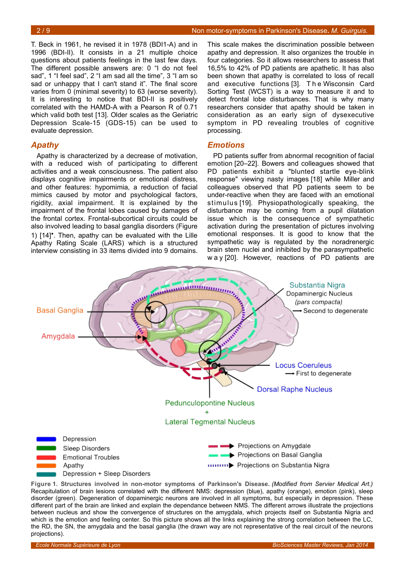T. Beck in 1961, he revised it in 1978 (BDI1-A) and in 1996 (BDI-II). It consists in a 21 multiple choice questions about patients feelings in the last few days. The different possible answers are: 0 "I do not feel sad", 1 "I feel sad", 2 "I am sad all the time", 3 "I am so sad or unhappy that I can't stand it". The final score varies from 0 (minimal severity) to 63 (worse severity). It is interesting to notice that BDI-II is positively correlated with the HAMD-A with a Pearson R of 0.71 which valid both test [13]. Older scales as the Geriatric Depression Scale-15 (GDS-15) can be used to evaluate depression.

### *Apathy*

Apathy is characterized by a decrease of motivation, with a reduced wish of participating to different activities and a weak consciousness. The patient also displays cognitive impairments or emotional distress, and other features: hypomimia, a reduction of facial mimics caused by motor and psychological factors, rigidity, axial impairment. It is explained by the impairment of the frontal lobes caused by damages of the frontal cortex. Frontal-subcortical circuits could be also involved leading to basal ganglia disorders (Figure [1\)](#page-1-0) [14]•. Then, apathy can be evaluated with the Lille Apathy Rating Scale (LARS) which is a structured interview consisting in 33 items divided into 9 domains.

This scale makes the discrimination possible between apathy and depression. It also organizes the trouble in four categories. So it allows researchers to assess that 16,5% to 42% of PD patients are apathetic. It has also been shown that apathy is correlated to loss of recall and executive functions [3]. T h e Wisconsin Card Sorting Test (WCST) is a way to measure it and to detect frontal lobe disturbances. That is why many researchers consider that apathy should be taken in consideration as an early sign of dysexecutive symptom in PD revealing troubles of cognitive processing.

#### *Emotions*

PD patients suffer from abnormal recognition of facial emotion [20–22]. Bowers and colleagues showed that PD patients exhibit a "blunted startle eye-blink response" viewing nasty images [18] while Miller and colleagues observed that PD patients seem to be under-reactive when they are faced with an emotional stimulus [19]. Physiopathologically speaking, the disturbance may be coming from a pupil dilatation issue which is the consequence of sympathetic activation during the presentation of pictures involving emotional responses. It is good to know that the sympathetic way is regulated by the noradrenergic brain stem nuclei and inhibited by the parasympathetic w a y [20]. However, reactions of PD patients are



<span id="page-1-0"></span>**Figure 1. Structures involved in non-motor symptoms of Parkinson's Disease.** *(Modified from Servier Medical Art.)* Recapitulation of brain lesions correlated with the different NMS: depression (blue), apathy (orange), emotion (pink), sleep disorder (green). Degeneration of dopaminergic neurons are involved in all symptoms, but especially in depression. These different part of the brain are linked and explain the dependance between NMS. The different arrows illustrate the projections between nucleus and show the convergence of structures on the amygdala, which projects itself on Substantia Nigria and which is the emotion and feeling center. So this picture shows all the links explaining the strong correlation between the LC, the RD, the SN, the amygdala and the basal ganglia (the drawn way are not representative of the real circuit of the neurons projections).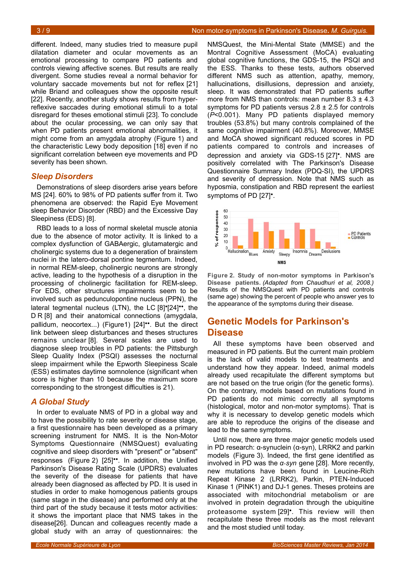different. Indeed, many studies tried to measure pupil dilatation diameter and ocular movements as an emotional processing to compare PD patients and controls viewing affective scenes. But results are really divergent. Some studies reveal a normal behavior for voluntary saccade movements but not for reflex [21] while Briand and colleagues show the opposite result [22]. Recently, another study shows results from hyperreflexive saccades during emotional stimuli to a total disregard for theses emotional stimuli [23]. To conclude about the ocular processing, we can only say that when PD patients present emotional abnormalities, it might come from an amygdala atrophy (Figure [1\)](#page-1-0) and the characteristic Lewy body deposition [18] even if no significant correlation between eye movements and PD severity has been shown.

### *Sleep Disorders*

Demonstrations of sleep disorders arise years before MS [24]. 60% to 98% of PD patients suffer from it. Two phenomena are observed: the Rapid Eye Movement sleep Behavior Disorder (RBD) and the Excessive Day Sleepiness (EDS) [8].

RBD leads to a loss of normal skeletal muscle atonia due to the absence of motor activity. It is linked to a complex dysfunction of GABAergic, glutamatergic and cholinergic systems due to a degeneration of brainstem nuclei in the latero-dorsal pontine tegmentum. Indeed, in normal REM-sleep, cholinergic neurons are strongly active, leading to the hypothesis of a disruption in the processing of cholinergic facilitation for REM-sleep. For EDS, other structures impairments seem to be involved such as pedunculopontine nucleus (PPN), the lateral tegmental nucleus (LTN), the LC [8]•[24]••, the D R [8] and their anatomical connections (amygdala, pallidum, neocortex...) (Figur[e1\)](#page-1-0) [24]••. But the direct link between sleep disturbances and theses structures remains unclear [8]. Several scales are used to diagnose sleep troubles in PD patients: the Pittsburgh Sleep Quality Index (PSQI) assesses the nocturnal sleep impairment while the Epworth Sleepiness Scale (ESS) estimates daytime somnolence (significant when score is higher than 10 because the maximum score corresponding to the strongest difficulties is 21).

### *A Global Study*

In order to evaluate NMS of PD in a global way and to have the possibility to rate severity or disease stage, a first questionnaire has been developed as a primary screening instrument for NMS. It is the Non-Motor Symptoms Questionnaire (NMSQuest) evaluating cognitive and sleep disorders with "present" or "absent" responses (Figure [2\)](#page-2-0) [25]••. In addition, the Unified Parkinson's Disease Rating Scale (UPDRS) evaluates the severity of the disease for patients that have already been diagnosed as affected by PD. It is used in studies in order to make homogenous patients groups (same stage in the disease) and performed only at the third part of the study because it tests motor activities: it shows the important place that NMS takes in the disease[26]. Duncan and colleagues recently made a global study with an array of questionnaires: the

NMSQuest, the Mini-Mental State (MMSE) and the Montral Cognitive Assessment (MoCA) evaluating global cognitive functions, the GDS-15, the PSQI and the ESS. Thanks to these tests, authors observed different NMS such as attention, apathy, memory, hallucinations, disillusions, depression and anxiety, sleep. It was demonstrated that PD patients suffer more from NMS than controls: mean number  $8.3 \pm 4.3$ symptoms for PD patients versus  $2.8 \pm 2.5$  for controls (*P*<0.001). Many PD patients displayed memory troubles (53.8%) but many controls complained of the same cognitive impairment (40.8%). Moreover, MMSE and MoCA showed significant reduced scores in PD patients compared to controls and increases of depression and anxiety via GDS-15 [27]•. NMS are positively correlated with The Parkinson's Disease Questionnaire Summary Index (PDQ-SI), the UPDRS and severity of depression. Note that NMS such as hyposmia, constipation and RBD represent the earliest symptoms of PD [27]•.



<span id="page-2-0"></span>**Figure 2. Study of non-motor symptoms in Parkison's Disease patients.** *(Adapted from Chaudhuri et al, 2008.)* Results of the NMSQuest with PD patients and controls (same age) showing the percent of people who answer yes to the appearance of the symptoms during their disease.

# **Genetic Models for Parkinson's Disease**

All these symptoms have been observed and measured in PD patients. But the current main problem is the lack of valid models to test treatments and understand how they appear. Indeed, animal models already used recapitulate the different symptoms but are not based on the true origin (for the genetic forms). On the contrary, models based on mutations found in PD patients do not mimic correctly all symptoms (histological, motor and non-motor symptoms). That is why it is necessary to develop genetic models which are able to reproduce the origins of the disease and lead to the same symptoms.

Until now, there are three major genetic models used in PD research: α-synuclein (α-syn), LRRK2 and parkin models (Figure [3\)](#page-3-0). Indeed, the first gene identified as involved in PD was the *α-syn* gene [28]. More recently, new mutations have been found in Leucine-Rich Repeat Kinase 2 (LRRK2), Parkin, PTEN-Induced Kinase 1 (PINK1) and DJ-1 genes. Theses proteins are associated with mitochondrial metabolism or are involved in protein degradation through the ubiquitine proteasome system [29]•. This review will then recapitulate these three models as the most relevant and the most studied until today.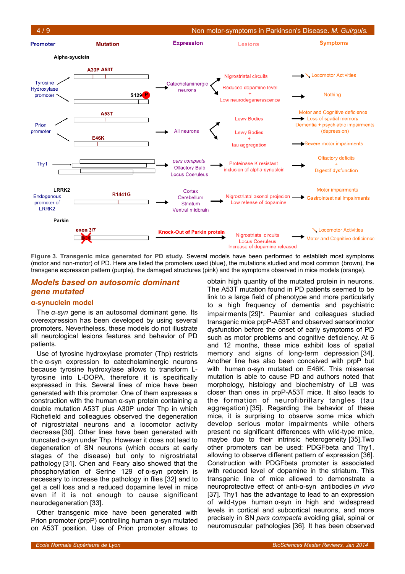

<span id="page-3-0"></span>**Figure 3. Transgenic mice generated for PD study.** Several models have been performed to establish most symptoms (motor and non-motor) of PD. Here are listed the promoters used (blue), the mutations studied and most common (brown), the transgene expression pattern (purple), the damaged structures (pink) and the symptoms observed in mice models (orange).

## *Models based on autosomic dominant gene mutated*

#### **α-synuclein model**

The *α-syn* gene is an autosomal dominant gene. Its overexpression has been developed by using several promoters. Nevertheless, these models do not illustrate all neurological lesions features and behavior of PD patients.

Use of tyrosine hydroxylase promoter (Thp) restricts t h e α-syn expression to catecholaminergic neurons because tyrosine hydroxylase allows to transform Ltyrosine into L-DOPA, therefore it is specifically expressed in this. Several lines of mice have been generated with this promoter. One of them expresses a construction with the human α-syn protein containing a double mutation A53T plus A30P under Thp in which Richefield and colleagues observed the degeneration of nigrostriatal neurons and a locomotor activity decrease [30]. Other lines have been generated with truncated α-syn under Thp. However it does not lead to degeneration of SN neurons (which occurs at early stages of the disease) but only to nigrostriatal pathology [31]. Chen and Feary also showed that the phosphorylation of Serine 129 of α-syn protein is necessary to increase the pathology in flies [32] and to get a cell loss and a reduced dopamine level in mice even if it is not enough to cause significant neurodegeneration [33].

Other transgenic mice have been generated with Prion promoter (prpP) controlling human α-syn mutated on A53T position. Use of Prion promoter allows to

obtain high quantity of the mutated protein in neurons. The A53T mutation found in PD patients seemed to be link to a large field of phenotype and more particularly to a high frequency of dementia and psychiatric impairments [29]•. Paumier and colleagues studied transgenic mice prpP-A53T and observed sensorimotor dysfunction before the onset of early symptoms of PD such as motor problems and cognitive deficiency. At 6 and 12 months, these mice exhibit loss of spatial memory and signs of long-term depression [34]. Another line has also been conceived with prpP but with human α-syn mutated on E46K. This missense mutation is able to cause PD and authors noted that morphology, histology and biochemistry of LB was closer than ones in prpP-A53T mice. It also leads to the formation of neurofibrillary tangles (tau aggregation) [35]. Regarding the behavior of these mice, it is surprising to observe some mice which develop serious motor impairments while others present no significant differences with wild-type mice, maybe due to their intrinsic heterogeneity [35].Two other promoters can be used: PDGFbeta and Thy1, allowing to observe different pattern of expression [36]. Construction with PDGFbeta promoter is associated with reduced level of dopamine in the striatum. This transgenic line of mice allowed to demonstrate a neuroprotective effect of anti-α-syn antibodies *in vivo* [37]. Thy1 has the advantage to lead to an expression of wild-type human α-syn in high and widespread levels in cortical and subcortical neurons, and more precisely in SN *pars compacta* avoiding glial, spinal or neuromuscular pathologies [36]. It has been observed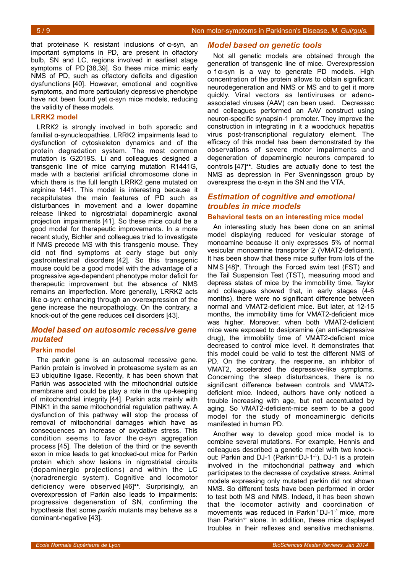that proteinase K resistant inclusions of α-syn, an important symptoms in PD, are present in olfactory bulb, SN and LC, regions involved in earliest stage symptoms of PD [38,39]. So these mice mimic early NMS of PD, such as olfactory deficits and digestion dysfunctions [40]. However, emotional and cognitive symptoms, and more particularly depressive phenotype have not been found yet α-syn mice models, reducing the validity of these models.

### **LRRK2 model**

LRRK2 is strongly involved in both sporadic and familial α-synucleopathies. LRRK2 impairments lead to dysfunction of cytoskeleton dynamics and of the protein degradation system. The most common mutation is G2019S. Li and colleagues designed a transgenic line of mice carrying mutation R1441G, made with a bacterial artificial chromosome clone in which there is the full length LRRK2 gene mutated on arginine 1441. This model is interesting because it recapitulates the main features of PD such as disturbances in movement and a lower dopamine release linked to nigrostriatal dopaminergic axonal projection impairments [41]. So these mice could be a good model for therapeutic improvements. In a more recent study, Bichler and colleagues tried to investigate if NMS precede MS with this transgenic mouse. They did not find symptoms at early stage but only gastrointestinal disorders [42]. So this transgenic mouse could be a good model with the advantage of a progressive age-dependent phenotype motor deficit for therapeutic improvement but the absence of NMS remains an imperfection. More generally, LRRK2 acts like α-syn: enhancing through an overexpression of the gene increase the neuropathology. On the contrary, a knock-out of the gene reduces cell disorders [43].

# *Model based on autosomic recessive gene mutated*

#### **Parkin model**

The parkin gene is an autosomal recessive gene. Parkin protein is involved in proteasome system as an E3 ubiquitine ligase. Recently, it has been shown that Parkin was associated with the mitochondrial outside membrane and could be play a role in the up-keeping of mitochondrial integrity [44]. Parkin acts mainly with PINK1 in the same mitochondrial regulation pathway. A dysfunction of this pathway will stop the process of removal of mitochondrial damages which have as consequences an increase of oxydative stress. This condition seems to favor the α-syn aggregation process [45]. The deletion of the third or the seventh exon in mice leads to get knocked-out mice for Parkin protein which show lesions in nigrostriatal circuits (dopaminergic projections) and within the LC (noradrenergic system). Cognitive and locomotor deficiency were observed [46]••. Surprisingly, an overexpression of Parkin also leads to impairments: progressive degeneration of SN, confirming the hypothesis that some *parkin* mutants may behave as a dominant-negative [43].

### *Model based on genetic tools*

Not all genetic models are obtained through the generation of transgenic line of mice. Overexpression o f α-syn is a way to generate PD models. High concentration of the protein allows to obtain significant neurodegeneration and NMS or MS and to get it more quickly. Viral vectors as lentiviruses or adenoassociated viruses (AAV) can been used. Decressac and colleagues performed an AAV construct using neuron-specific synapsin-1 promoter. They improve the construction in integrating in it a woodchuck hepatitis virus post-transcriptional regulatory element. The efficacy of this model has been demonstrated by the observations of severe motor impairments and degeneration of dopaminergic neurons compared to controls [47]••. Studies are actually done to test the NMS as depression in Per Svenningsson group by overexpress the α-syn in the SN and the VTA.

# *Estimation of cognitive and emotional troubles in mice models*

#### **Behavioral tests on an interesting mice model**

An interesting study has been done on an animal model displaying reduced for vesicular storage of monoamine because it only expresses 5% of normal vesicular monoamine transporter 2 (VMAT2-deficient). It has been show that these mice suffer from lots of the NMS [48]•. Through the Forced swim test (FST) and the Tail Suspension Test (TST), measuring mood and depress states of mice by the immobility time, Taylor and colleagues showed that, in early stages (4-6 months), there were no significant difference between normal and VMAT2-deficient mice. But later, at 12-15 months, the immobility time for VMAT2-deficient mice was higher. Moreover, when both VMAT2-deficient mice were exposed to desipramine (an anti-depressive drug), the immobility time of VMAT2-deficient mice decreased to control mice level. It demonstrates that this model could be valid to test the different NMS of PD. On the contrary, the resperine, an inhibitor of VMAT2, accelerated the depressive-like symptoms. Concerning the sleep disturbances, there is no significant difference between controls and VMAT2 deficient mice. Indeed, authors have only noticed a trouble increasing with age, but not accentuated by aging. So VMAT2-deficient-mice seem to be a good model for the study of monoaminergic deficits manifested in human PD.

Another way to develop good mice model is to combine several mutations. For example, Hennis and colleagues described a genetic model with two knockout: Parkin and DJ-1 (Parkin<sup>-/-</sup>DJ-1<sup>-/-</sup>). DJ-1 is a protein involved in the mitochondrial pathway and which participates to the decrease of oxydative stress. Animal models expressing only mutated parkin did not shown NMS. So different tests have been performed in order to test both MS and NMS. Indeed, it has been shown that the locomotor activity and coordination of movements was reduced in Parkin-/-DJ-1-/- mice, more than Parkin<sup>- $\pm$ </sup> alone. In addition, these mice displayed troubles in their reflexes and sensitive mechanisms.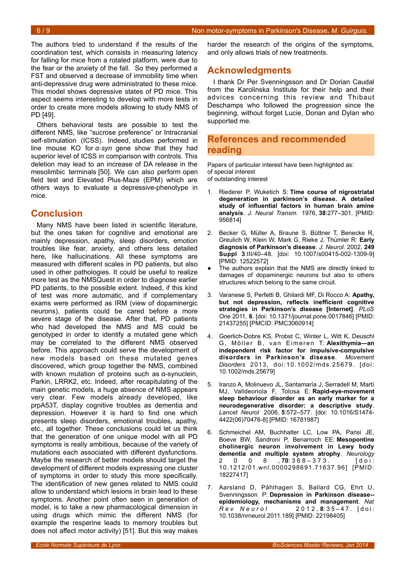The authors tried to understand if the results of the coordination test, which consists in measuring latency for falling for mice from a rotated platform, were due to the fear or the anxiety of the fall. So they performed a FST and observed a decrease of immobility time when anti-depressive drug were administrated to these mice. This model shows depressive states of PD mice. This aspect seems interesting to develop with more tests in order to create more models allowing to study NMS of PD [49].

Others behavioral tests are possible to test the different NMS, like "sucrose preference" or Intracranial self-stimulation (ICSS). Indeed, studies performed in line mouse KO for *α-syn* gene show that they had superior level of ICSS in comparison with controls. This deletion may lead to an increase of DA release in the mesolimbic terminals [50]. We can also perform open field test and Elevated Plus-Maze (EPM) which are others ways to evaluate a depressive-phenotype in mice.

# **Conclusion**

Many NMS have been listed in scientific literature, but the ones taken for cognitive and emotional are mainly depression, apathy, sleep disorders, emotion troubles like fear, anxiety, and others less detailed here, like hallucinations. All these symptoms are measured with different scales in PD patients, but also used in other pathologies. It could be useful to realize more test as the NMSQuest in order to diagnose earlier PD patients, to the possible extent. Indeed, if this kind of test was more automatic, and if complementary exams were performed as IRM (view of dopaminergic neurons), patients could be cared before a more severe stage of the disease. After that, PD patients who had developed the NMS and MS could be genotyped in order to identify a mutated gene which may be correlated to the different NMS observed before. This approach could serve the development of new models based on these mutated genes discovered, which group together the NMS, combined with known mutation of proteins such as α-synuclein, Parkin, LRRK2, etc. Indeed, after recapitulating of the main genetic models, a huge absence of NMS appears very clear. Few models already developed, like prpA53T, display cognitive troubles as dementia and depression. However it is hard to find one which presents sleep disorders, emotional troubles, apathy, etc., all together. These conclusions could let us think that the generation of one unique model with all PD symptoms is really ambitious, because of the variety of mutations each associated with different dysfunctions. Maybe the research of better models should target the development of different models expressing one cluster of symptoms in order to study this more specifically. The identification of new genes related to NMS could allow to understand which lesions in brain lead to these symptoms. Another point often seen in generation of model, is to take a new pharmacological dimension in using drugs which mimic the different NMS (for example the resperine leads to memory troubles but does not affect motor activity) [51]. But this way makes

harder the research of the origins of the symptoms, and only allows trials of new treatments.

# **Acknowledgments**

I thank Dr Per Svenningsson and Dr Dorian Caudal from the Karolinska Institute for their help and their advices concerning this review and Thibaut Deschamps who followed the progression since the beginning, without forget Lucie, Dorian and Dylan who supported me.

# **References and recommended reading**

Papers of particular interest have been highlighted as: of special interest of outstanding interest

- 1. Riederer P, Wuketich S: **Time course of nigrostriatal degeneration in parkinson's disease. A detailed study of influential factors in human brain amine analysis**. *J. Neural Transm.* 1976, **38**:277–301. [PMID: 956814]
- 2. Becker G, Müller A, Braune S, Büttner T, Benecke R, Greulich W, Klein W, Mark G, Rieke J, Thümler R: **Early diagnosis of Parkinson's disease**. *J. Neurol.* 2002, **249 Suppl 3**:III/40–48. [doi: 10.1007/s00415-002-1309-9] [PMID: 12522572]
- The authors explain that the NMS are directly linked to damages of dopaminergic neurons but also to others structures which belong to the same circuit.
- 3. Varanese S, Perfetti B, Ghilardi MF, Di Rocco A: **Apathy, but not depression, reflects inefficient cognitive strategies in Parkinson's disease [Internet]**. *PLoS One* 2011, **6**. [doi: 10.1371/journal.pone.0017846] [PMID: 21437255] [PMCID: PMC3060914]
- 4. Goerlich-Dobre KS, Probst C, Winter L, Witt K, Deuschl G, Möller B, van Eimeren T: Alexithymia-an **independent risk factor for impulsive-compulsive disorders in Parkinson's disease**. *Movement Disorders* 2013, doi:10.1002/mds.25679. [doi: 10.1002/mds.25679]
- 5. Iranzo A, Molinuevo JL, Santamaría J, Serradell M, Martí MJ, Valldeoriola F, Tolosa E: **Rapid-eye-movement sleep behaviour disorder as an early marker for a neurodegenerative disorder: a descriptive study**. *Lancet Neurol* 2006, **5**:572–577. [doi: 10.1016/S1474- 4422(06)70476-8] [PMID: 16781987]
- 6. Schmeichel AM, Buchhalter LC, Low PA, Parisi JE, Boeve BW, Sandroni P, Benarroch EE: **Mesopontine cholinergic neuron involvement in Lewy body dementia and multiple system atrophy**. *Neurology* 2 0 0 8 , **70**: 3 6 8 – 3 7 3 . [ d o i : 10.1212/01.wnl.0000298691.71637.96] [PMID: 18227417]
- 7. Aarsland D, Påhlhagen S, Ballard CG, Ehrt U, Svenningsson P: **Depression in Parkinson disease- epidemiology, mechanisms and management**. *Nat R e v N e u r o l* 2 0 1 2 , **8**: 3 5 – 4 7 . [ d o i : 10.1038/nrneurol.2011.189] [PMID: 22198405]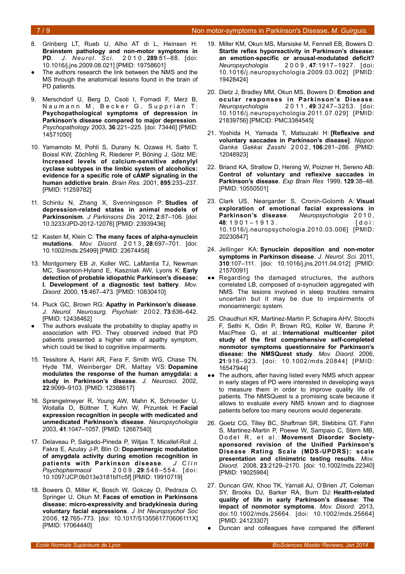#### 7 / 9 Non motor-symptoms in Parkinson's Disease*. M. Guirguis.*

- 8. Grinberg LT, Rueb U, Alho AT di L, Heinsen H: **Brainstem pathology and non-motor symptoms in PD**. *J. Neurol. Sci.* 2 0 1 0 , **289**:81–88. [doi: 10.1016/j.jns.2009.08.021] [PMID: 19758601]
- The authors research the link between the NMS and the MS through the anatomical lesions found in the brain of PD patients.
- 9. Merschdorf U, Berg D, Csoti I, Fornadi F, Merz B, Naumann M, Becker G, Supprian T: **Psychopathological symptoms of depression in Parkinson's disease compared to major depression**. *Psychopathology* 2003, **36**:221–225. [doi: 73446] [PMID: 14571050]
- 10. Yamamoto M, Pohli S, Durany N, Ozawa H, Saito T, Boissl KW, Zöchling R, Riederer P, Böning J, Götz ME: **Increased levels of calcium-sensitive adenylyl cyclase subtypes in the limbic system of alcoholics: evidence for a specific role of cAMP signaling in the human addictive brain**. *Brain Res.* 2001, **895**:233–237. [PMID: 11259782]
- 11. Schintu N, Zhang X, Svenningsson P: **Studies of depression-related states in animal models of Parkinsonism**. *J Parkinsons Dis* 2012, **2**:87–106. [doi: 10.3233/JPD-2012-12076] [PMID: 23939436]
- 12. Kasten M, Klein C: **The many faces of alpha-synuclein mutations**. *Mov. Disord.* 2 0 1 3 , **28**:697–701. [doi: 10.1002/mds.25499] [PMID: 23674458]
- 13. Montgomery EB Jr, Koller WC, LaMantia TJ, Newman MC, Swanson-Hyland E, Kaszniak AW, Lyons K: **Early detection of probable idiopathic Parkinson's disease: I. Development of a diagnostic test battery**. *Mov. Disord.* 2000, **15**:467–473. [PMID: 10830410]
- 14. Pluck GC, Brown RG: **Apathy in Parkinson's disease**. *J. Neurol. Neurosurg. Psychiatr.* 2002, **73**:636–642. [PMID: 12438462]
- The authors evaluate the probability to display apathy in association with PD. They observed indeed that PD patients presented a higher rate of apathy symptom, which could be liked to cognitive impairments.
- 15. Tessitore A, Hariri AR, Fera F, Smith WG, Chase TN, Hyde TM, Weinberger DR, Mattay VS: **Dopamine modulates the response of the human amygdala: a study in Parkinson's disease**. *J. Neurosci.* 2002, **22**:9099–9103. [PMID: 12388617]
- 16. Sprengelmeyer R, Young AW, Mahn K, Schroeder U, Woitalla D, Büttner T, Kuhn W, Przuntek H: **Facial expression recognition in people with medicated and unmedicated Parkinson's disease**. *Neuropsychologia* 2003, **41**:1047–1057. [PMID: 12667540]
- 17. Delaveau P, Salgado-Pineda P, Witjas T, Micallef-Roll J, Fakra E, Azulay J-P, Blin O: **Dopaminergic modulation of amygdala activity during emotion recognition in** patients with Parkinson disease. J Clin *Psychopharmacol* 2 0 0 9 , **29**:548 –55 4. [ doi: 10.1097/JCP.0b013e3181bf1c5f] [PMID: 19910719]
- 18. Bowers D, Miller K, Bosch W, Gokcay D, Pedraza O, Springer U, Okun M: **Faces of emotion in Parkinsons disease: micro-expressivity and bradykinesia during voluntary facial expressions**. *J Int Neuropsychol Soc* 2006, **12**:765–773. [doi: 10.1017/S135561770606111X] [PMID: 17064440]
- 19. Miller KM, Okun MS, Marsiske M, Fennell EB, Bowers D: **Startle reflex hyporeactivity in Parkinson's disease: an emotion-specific or arousal-modulated deficit?** *Neuropsychologia* 2 0 0 9 , **47**:1917–1927. [doi: 10.1016/j.neuropsychologia.2009.03.002] [PMID: 19428424]
- 20. Dietz J, Bradley MM, Okun MS, Bowers D: **Emotion and ocular responses in Parkinson's Disease**. *Neuropsychologia* 2 0 1 1 , **49**:3247–3253. [doi: 10.1016/j.neuropsychologia.2011.07.029] [PMID: 21839756] [PMCID: PMC3384545]
- 21. Yoshida H, Yamada T, Matsuzaki H: **[Reflexive and voluntary saccades in Parkinson's disease]**. *Nippon Ganka Gakkai Zasshi* 2 0 0 2 , **106**:281–286. [PMID: 12048923]
- 22. Briand KA, Strallow D, Hening W, Poizner H, Sereno AB: **Control of voluntary and reflexive saccades in Parkinson's disease**. *Exp Brain Res* 1999, **129**:38–48. [PMID: 10550501]
- 23. Clark US, Neargarder S, Cronin-Golomb A: **Visual exploration of emotional facial expressions in Parkinson's disease**. *Neuropsychologia* 2 0 1 0 , **48**: 1 9 0 1 – 1 9 1 3 . [ d o i : 10.1016/j.neuropsychologia.2010.03.006] [PMID: 20230847]
- 24. Jellinger KA: **Synuclein deposition and non-motor symptoms in Parkinson disease**. *J. Neurol. Sci.* 2011, **310**:107–111. [doi: 10.1016/j.jns.2011.04.012] [PMID: 21570091]
- ●● Regarding the damaged structures, the authors correlated LB, composed of α-synuclein aggregated with NMS. The lesions involved in sleep troubles remains uncertain but it may be due to impairments of monoaminergic system.
- 25. Chaudhuri KR, Martinez-Martin P, Schapira AHV, Stocchi F, Sethi K, Odin P, Brown RG, Koller W, Barone P, MacPhee G, et al.: **International multicenter pilot study of the first comprehensive self-completed nonmotor symptoms questionnaire for Parkinson's disease: the NMSQuest study**. *Mov. Disord.* 2006, **21**:916–923. [doi: 10.1002/mds.20844] [PMID: 16547944]
- ●● The authors, after having listed every NMS which appear in early stages of PD were interested in developing ways to measure them in order to improve quality life of patients. The NMSQuest is a promising scale because it allows to evaluate every NMS known and to diagnose patients before too many neurons would degenerate.
- 26. Goetz CG, Tilley BC, Shaftman SR, Stebbins GT, Fahn S, Martinez-Martin P, Poewe W, Sampaio C, Stern MB, Dodel R, et al.: Movement Disorder Society**sponsored revision of the Unified Parkinson's Disease Rating Scale (MDS-UPDRS): scale presentation and clinimetric testing results**. *Mov. Disord.* 2008, **23**:2129–2170. [doi: 10.1002/mds.22340] [PMID: 19025984]
- 27. Duncan GW, Khoo TK, Yarnall AJ, O'Brien JT, Coleman SY, Brooks DJ, Barker RA, Burn DJ: **Health-related quality of life in early Parkinson's disease: The impact of nonmotor symptoms**. *Mov. Disord.* 2013, doi:10.1002/mds.25664. [doi: 10.1002/mds.25664] [PMID: 24123307]
- Duncan and colleagues have compared the different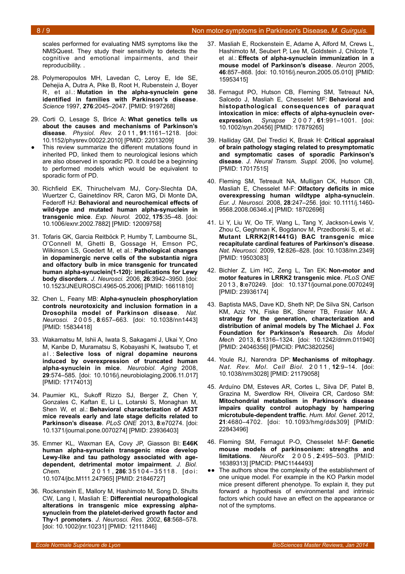scales performed for evaluating NMS symptoms like the NMSQuest. They study their sensitivity to detects the cognitive and emotional impairments, and their reproducibility. .

- 28. Polymeropoulos MH, Lavedan C, Leroy E, Ide SE, Dehejia A, Dutra A, Pike B, Root H, Rubenstein J, Boyer R, et al.: **Mutation in the alpha-synuclein gene identified in families with Parkinson's disease**. *Science* 1997, **276**:2045–2047. [PMID: 9197268]
- 29. Corti O, Lesage S, Brice A: **What genetics tells us about the causes and mechanisms of Parkinson's disease**. *Physiol. Rev.* 2 0 11 , **91**:1161–1218. [doi: 10.1152/physrev.00022.2010] [PMID: 22013209]
- This review summarize the different mutations found in inherited PD, linked them to neurological lesions which are also observed in sporadic PD. It could be a beginning to performed models which would be equivalent to sporadic form of PD.
- 30. Richfield EK, Thiruchelvam MJ, Cory-Slechta DA, Wuertzer C, Gainetdinov RR, Caron MG, Di Monte DA, Federoff HJ: **Behavioral and neurochemical effects of wild-type and mutated human alpha-synuclein in transgenic mice**. *Exp. Neurol.* 2002, **175**:35–48. [doi: 10.1006/exnr.2002.7882] [PMID: 12009758]
- 31. Tofaris GK, Garcia Reitböck P, Humby T, Lambourne SL, O'Connell M, Ghetti B, Gossage H, Emson PC, Wilkinson LS, Goedert M, et al.: **Pathological changes in dopaminergic nerve cells of the substantia nigra and olfactory bulb in mice transgenic for truncated human alpha-synuclein(1-120): implications for Lewy body disorders**. *J. Neurosci.* 2006, **26**:3942–3950. [doi: 10.1523/JNEUROSCI.4965-05.2006] [PMID: 16611810]
- 32. Chen L, Feany MB: **Alpha-synuclein phosphorylation controls neurotoxicity and inclusion formation in a Drosophila model of Parkinson disease**. *Nat. Neurosci.* 2 0 0 5 , **8**:657–663. [doi: 10.1038/nn1443] [PMID: 15834418]
- 33. Wakamatsu M, Ishii A, Iwata S, Sakagami J, Ukai Y, Ono M, Kanbe D, Muramatsu S, Kobayashi K, Iwatsubo T, et a l . : **Selective loss of nigral dopamine neurons induced by overexpression of truncated human alpha-synuclein in mice**. *Neurobiol. Aging* 2008, **29**:574–585. [doi: 10.1016/j.neurobiolaging.2006.11.017] [PMID: 17174013]
- 34. Paumier KL, Sukoff Rizzo SJ, Berger Z, Chen Y, Gonzales C, Kaftan E, Li L, Lotarski S, Monaghan M, Shen W, et al.: **Behavioral characterization of A53T mice reveals early and late stage deficits related to Parkinson's disease**. *PLoS ONE* 2013, **8**:e70274. [doi: 10.1371/journal.pone.0070274] [PMID: 23936403]
- 35. Emmer KL, Waxman EA, Covy JP, Giasson BI: **E46K human alpha-synuclein transgenic mice develop Lewy-like and tau pathology associated with agedependent, detrimental motor impairment**. *J. Biol. Chem.* 2 0 1 1 , **286**: 3 5 1 0 4 – 3 5 11 8 . [ d o i : 10.1074/jbc.M111.247965] [PMID: 21846727]
- 36. Rockenstein E, Mallory M, Hashimoto M, Song D, Shults CW, Lang I, Masliah E: **Differential neuropathological alterations in transgenic mice expressing alphasynuclein from the platelet-derived growth factor and Thy-1 promoters**. *J. Neurosci. Res.* 2002, **68**:568–578. [doi: 10.1002/jnr.10231] [PMID: 12111846]
- 37. Masliah E, Rockenstein E, Adame A, Alford M, Crews L, Hashimoto M, Seubert P, Lee M, Goldstein J, Chilcote T, et al.: **Effects of alpha-synuclein immunization in a mouse model of Parkinson's disease**. *Neuron* 2005, **46**:857–868. [doi: 10.1016/j.neuron.2005.05.010] [PMID: 15953415]
- 38. Fernagut PO, Hutson CB, Fleming SM, Tetreaut NA, Salcedo J, Masliah E, Chesselet MF: **Behavioral and histopathological consequences of paraquat intoxication in mice: effects of alpha-synuclein overexpression**. *Synapse* 2 0 0 7 , **61**:991–1001. [doi: 10.1002/syn.20456] [PMID: 17879265]
- 39. Halliday GM, Del Tredici K, Braak H: **Critical appraisal of brain pathology staging related to presymptomatic and symptomatic cases of sporadic Parkinson's disease**. *J. Neural Transm. Suppl.* 2006, [no volume]. [PMID: 17017515]
- 40. Fleming SM, Tetreault NA, Mulligan CK, Hutson CB, Masliah E, Chesselet M-F: **Olfactory deficits in mice overexpressing human wildtype alpha-synuclein**. *Eur. J. Neurosci.* 2008, **28**:247–256. [doi: 10.1111/j.1460- 9568.2008.06346.x] [PMID: 18702696]
- 41. Li Y, Liu W, Oo TF, Wang L, Tang Y, Jackson-Lewis V, Zhou C, Geghman K, Bogdanov M, Przedborski S, et al.: **Mutant LRRK2(R1441G) BAC transgenic mice recapitulate cardinal features of Parkinson's disease**. *Nat. Neurosci.* 2009, **12**:826–828. [doi: 10.1038/nn.2349] [PMID: 19503083]
- 42. Bichler Z, Lim HC, Zeng L, Tan EK: **Non-motor and motor features in LRRK2 transgenic mice**. *PLoS ONE* 2 0 1 3 , **8**:e70249. [doi: 10.1371/journal.pone.0070249] [PMID: 23936174]
- 43. Baptista MAS, Dave KD, Sheth NP, De Silva SN, Carlson KM, Aziz YN, Fiske BK, Sherer TB, Frasier MA: **A strategy for the generation, characterization and distribution of animal models by The Michael J. Fox Foundation for Parkinson's Research**. *Dis Model Mech* 2013, **6**:1316–1324. [doi: 10.1242/dmm.011940] [PMID: 24046356] [PMCID: PMC3820256]
- 44. Youle RJ, Narendra DP: **Mechanisms of mitophagy**. *Nat. Rev. Mol. Cell Biol.* 2 0 1 1 , **12**:9–14. [doi: 10.1038/nrm3028] [PMID: 21179058]
- 45. Arduíno DM, Esteves AR, Cortes L, Silva DF, Patel B, Grazina M, Swerdlow RH, Oliveira CR, Cardoso SM: **Mitochondrial metabolism in Parkinson's disease impairs quality control autophagy by hampering microtubule-dependent traffic**. *Hum. Mol. Genet.* 2012, **21**:4680–4702. [doi: 10.1093/hmg/dds309] [PMID: 22843496]
- 46. Fleming SM, Fernagut P-O, Chesselet M-F: **Genetic mouse models of parkinsonism: strengths and limitations**. *NeuroRx* 2 0 0 5 , **2**:495–503. [PMID: 16389313] [PMCID: PMC1144493]
- ●● The authors show the complexity of the establishment of one unique model. For example in the KO Parkin model mice present different phenotype. To explain it, they put forward a hypothesis of environmental and intrinsic factors which could have an effect on the appearance or not of the symptoms.